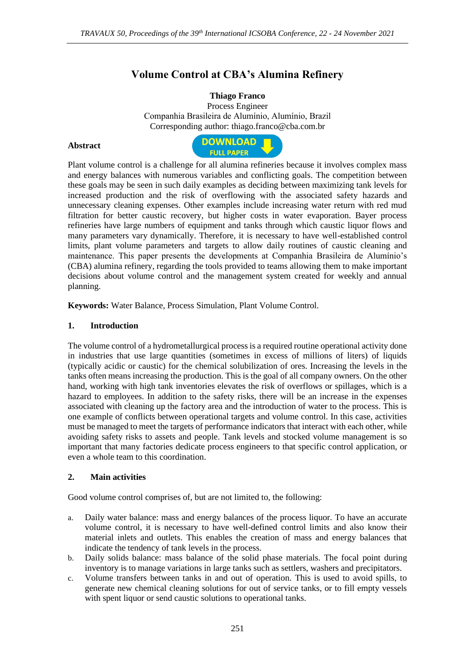# **Volume Control at CBA's Alumina Refinery**

## **Thiago Franco**

Process Engineer Companhia Brasileira de Alumínio, Alumínio, Brazil Corresponding author: thiago.franco@cba.com.br

### **Abstract**



Plant volume control is a challenge for all alumina refineries because it involves complex mass and energy balances with numerous variables and conflicting goals. The competition between these goals may be seen in such daily examples as deciding between maximizing tank levels for increased production and the risk of overflowing with the associated safety hazards and unnecessary cleaning expenses. Other examples include increasing water return with red mud filtration for better caustic recovery, but higher costs in water evaporation. Bayer process refineries have large numbers of equipment and tanks through which caustic liquor flows and many parameters vary dynamically. Therefore, it is necessary to have well-established control limits, plant volume parameters and targets to allow daily routines of caustic cleaning and maintenance. This paper presents the developments at Companhia Brasileira de Alumínio's (CBA) alumina refinery, regarding the tools provided to teams allowing them to make important decisions about volume control and the management system created for weekly and annual planning.

**Keywords:** Water Balance, Process Simulation, Plant Volume Control.

### **1. Introduction**

The volume control of a hydrometallurgical process is a required routine operational activity done in industries that use large quantities (sometimes in excess of millions of liters) of liquids (typically acidic or caustic) for the chemical solubilization of ores. Increasing the levels in the tanks often means increasing the production. This is the goal of all company owners. On the other hand, working with high tank inventories elevates the risk of overflows or spillages, which is a hazard to employees. In addition to the safety risks, there will be an increase in the expenses associated with cleaning up the factory area and the introduction of water to the process. This is one example of conflicts between operational targets and volume control. In this case, activities must be managed to meet the targets of performance indicators that interact with each other, while avoiding safety risks to assets and people. Tank levels and stocked volume management is so important that many factories dedicate process engineers to that specific control application, or even a whole team to this coordination.

### **2. Main activities**

Good volume control comprises of, but are not limited to, the following:

- a. Daily water balance: mass and energy balances of the process liquor. To have an accurate volume control, it is necessary to have well-defined control limits and also know their material inlets and outlets. This enables the creation of mass and energy balances that indicate the tendency of tank levels in the process.
- b. Daily solids balance: mass balance of the solid phase materials. The focal point during inventory is to manage variations in large tanks such as settlers, washers and precipitators.
- c. Volume transfers between tanks in and out of operation. This is used to avoid spills, to generate new chemical cleaning solutions for out of service tanks, or to fill empty vessels with spent liquor or send caustic solutions to operational tanks.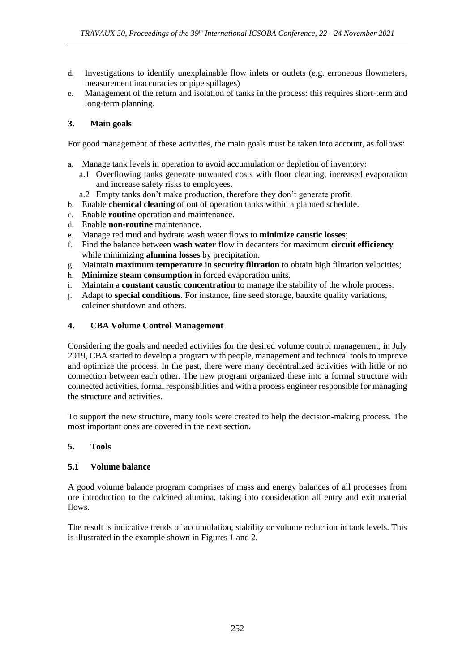- d. Investigations to identify unexplainable flow inlets or outlets (e.g. erroneous flowmeters, measurement inaccuracies or pipe spillages)
- e. Management of the return and isolation of tanks in the process: this requires short-term and long-term planning.

# **3. Main goals**

For good management of these activities, the main goals must be taken into account, as follows:

- a. Manage tank levels in operation to avoid accumulation or depletion of inventory:
	- a.1 Overflowing tanks generate unwanted costs with floor cleaning, increased evaporation and increase safety risks to employees.
	- a.2 Empty tanks don't make production, therefore they don't generate profit.
- b. Enable **chemical cleaning** of out of operation tanks within a planned schedule.
- c. Enable **routine** operation and maintenance.
- d. Enable **non-routine** maintenance.
- e. Manage red mud and hydrate wash water flows to **minimize caustic losses**;
- f. Find the balance between **wash water** flow in decanters for maximum **circuit efficiency** while minimizing **alumina losses** by precipitation.
- g. Maintain **maximum temperature** in **security filtration** to obtain high filtration velocities;
- h. **Minimize steam consumption** in forced evaporation units.
- i. Maintain a **constant caustic concentration** to manage the stability of the whole process.
- j. Adapt to **special conditions**. For instance, fine seed storage, bauxite quality variations, calciner shutdown and others.

## **4. CBA Volume Control Management**

Considering the goals and needed activities for the desired volume control management, in July 2019, CBA started to develop a program with people, management and technical tools to improve and optimize the process. In the past, there were many decentralized activities with little or no connection between each other. The new program organized these into a formal structure with connected activities, formal responsibilities and with a process engineer responsible for managing the structure and activities.

To support the new structure, many tools were created to help the decision-making process. The most important ones are covered in the next section.

### **5. Tools**

# **5.1 Volume balance**

A good volume balance program comprises of mass and energy balances of all processes from ore introduction to the calcined alumina, taking into consideration all entry and exit material flows.

The result is indicative trends of accumulation, stability or volume reduction in tank levels. This is illustrated in the example shown in Figures 1 and 2.